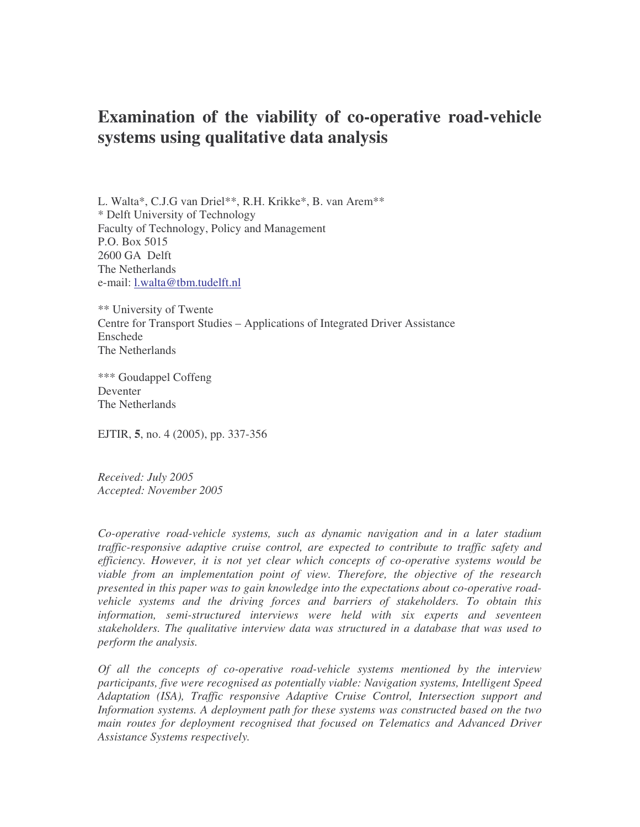L. Walta\*, C.J.G van Driel\*\*, R.H. Krikke\*, B. van Arem\*\* \* Delft University of Technology Faculty of Technology, Policy and Management P.O. Box 5015 2600 GA Delft The Netherlands e-mail: l.walta@tbm.tudelft.nl

\*\* University of Twente Centre for Transport Studies – Applications of Integrated Driver Assistance Enschede The Netherlands

\*\*\* Goudappel Coffeng Deventer The Netherlands

EJTIR, **5**, no. 4 (2005), pp. 337-356

*Received: July 2005 Accepted: November 2005*

*Co-operative road-vehicle systems, such as dynamic navigation and in a later stadium traffic-responsive adaptive cruise control, are expected to contribute to traffic safety and efficiency. However, it is not yet clear which concepts of co-operative systems would be viable from an implementation point of view. Therefore, the objective of the research presented in this paper was to gain knowledge into the expectations about co-operative roadvehicle systems and the driving forces and barriers of stakeholders. To obtain this information, semi-structured interviews were held with six experts and seventeen stakeholders. The qualitative interview data was structured in a database that was used to perform the analysis.*

*Of all the concepts of co-operative road-vehicle systems mentioned by the interview participants, five were recognised as potentially viable: Navigation systems, Intelligent Speed Adaptation (ISA), Traffic responsive Adaptive Cruise Control, Intersection support and Information systems. A deployment path for these systems was constructed based on the two main routes for deployment recognised that focused on Telematics and Advanced Driver Assistance Systems respectively.*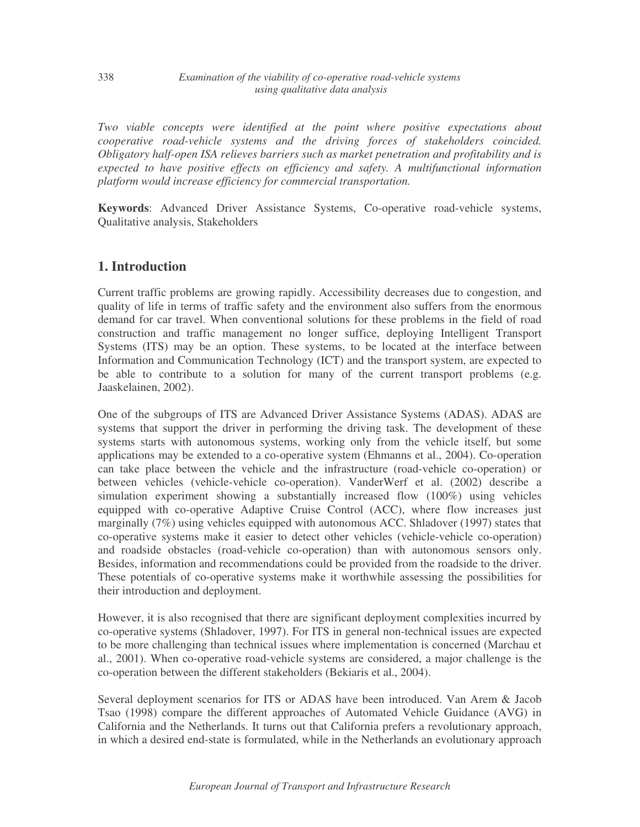*Two viable concepts were identified at the point where positive expectations about cooperative road-vehicle systems and the driving forces of stakeholders coincided. Obligatory half-open ISA relieves barriers such as market penetration and profitability and is expected to have positive effects on efficiency and safety. A multifunctional information platform would increase efficiency for commercial transportation.*

**Keywords**: Advanced Driver Assistance Systems, Co-operative road-vehicle systems, Qualitative analysis, Stakeholders

# **1. Introduction**

Current traffic problems are growing rapidly. Accessibility decreases due to congestion, and quality of life in terms of traffic safety and the environment also suffers from the enormous demand for car travel. When conventional solutions for these problems in the field of road construction and traffic management no longer suffice, deploying Intelligent Transport Systems (ITS) may be an option. These systems, to be located at the interface between Information and Communication Technology (ICT) and the transport system, are expected to be able to contribute to a solution for many of the current transport problems (e.g. Jaaskelainen, 2002).

One of the subgroups of ITS are Advanced Driver Assistance Systems (ADAS). ADAS are systems that support the driver in performing the driving task. The development of these systems starts with autonomous systems, working only from the vehicle itself, but some applications may be extended to a co-operative system (Ehmanns et al., 2004). Co-operation can take place between the vehicle and the infrastructure (road-vehicle co-operation) or between vehicles (vehicle-vehicle co-operation). VanderWerf et al. (2002) describe a simulation experiment showing a substantially increased flow (100%) using vehicles equipped with co-operative Adaptive Cruise Control (ACC), where flow increases just marginally (7%) using vehicles equipped with autonomous ACC. Shladover (1997) states that co-operative systems make it easier to detect other vehicles (vehicle-vehicle co-operation) and roadside obstacles (road-vehicle co-operation) than with autonomous sensors only. Besides, information and recommendations could be provided from the roadside to the driver. These potentials of co-operative systems make it worthwhile assessing the possibilities for their introduction and deployment.

However, it is also recognised that there are significant deployment complexities incurred by co-operative systems (Shladover, 1997). For ITS in general non-technical issues are expected to be more challenging than technical issues where implementation is concerned (Marchau et al., 2001). When co-operative road-vehicle systems are considered, a major challenge is the co-operation between the different stakeholders (Bekiaris et al., 2004).

Several deployment scenarios for ITS or ADAS have been introduced. Van Arem & Jacob Tsao (1998) compare the different approaches of Automated Vehicle Guidance (AVG) in California and the Netherlands. It turns out that California prefers a revolutionary approach, in which a desired end-state is formulated, while in the Netherlands an evolutionary approach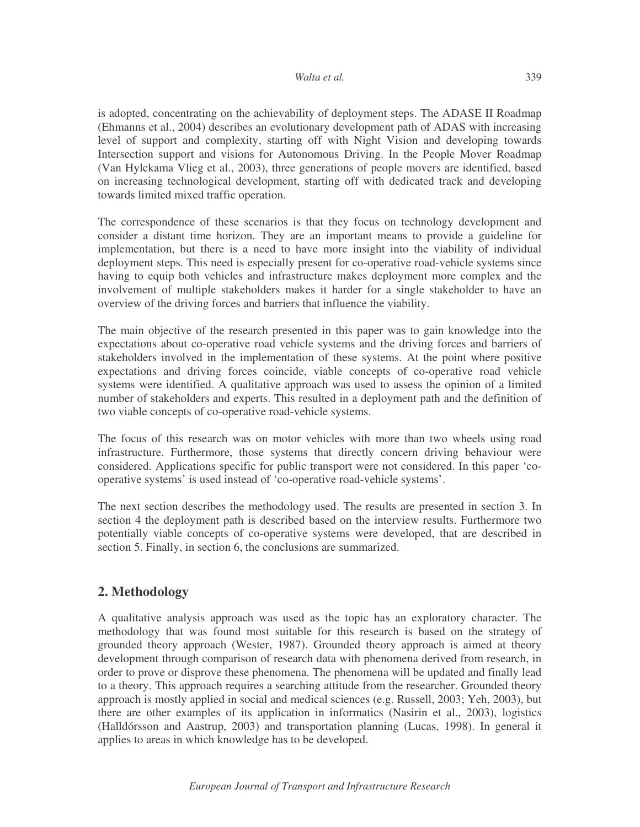is adopted, concentrating on the achievability of deployment steps. The ADASE II Roadmap (Ehmanns et al., 2004) describes an evolutionary development path of ADAS with increasing level of support and complexity, starting off with Night Vision and developing towards Intersection support and visions for Autonomous Driving. In the People Mover Roadmap (Van Hylckama Vlieg et al., 2003), three generations of people movers are identified, based on increasing technological development, starting off with dedicated track and developing towards limited mixed traffic operation.

The correspondence of these scenarios is that they focus on technology development and consider a distant time horizon. They are an important means to provide a guideline for implementation, but there is a need to have more insight into the viability of individual deployment steps. This need is especially present for co-operative road-vehicle systems since having to equip both vehicles and infrastructure makes deployment more complex and the involvement of multiple stakeholders makes it harder for a single stakeholder to have an overview of the driving forces and barriers that influence the viability.

The main objective of the research presented in this paper was to gain knowledge into the expectations about co-operative road vehicle systems and the driving forces and barriers of stakeholders involved in the implementation of these systems. At the point where positive expectations and driving forces coincide, viable concepts of co-operative road vehicle systems were identified. A qualitative approach was used to assess the opinion of a limited number of stakeholders and experts. This resulted in a deployment path and the definition of two viable concepts of co-operative road-vehicle systems.

The focus of this research was on motor vehicles with more than two wheels using road infrastructure. Furthermore, those systems that directly concern driving behaviour were considered. Applications specific for public transport were not considered. In this paper 'cooperative systems' is used instead of 'co-operative road-vehicle systems'.

The next section describes the methodology used. The results are presented in section 3. In section 4 the deployment path is described based on the interview results. Furthermore two potentially viable concepts of co-operative systems were developed, that are described in section 5. Finally, in section 6, the conclusions are summarized.

# **2. Methodology**

A qualitative analysis approach was used as the topic has an exploratory character. The methodology that was found most suitable for this research is based on the strategy of grounded theory approach (Wester, 1987). Grounded theory approach is aimed at theory development through comparison of research data with phenomena derived from research, in order to prove or disprove these phenomena. The phenomena will be updated and finally lead to a theory. This approach requires a searching attitude from the researcher. Grounded theory approach is mostly applied in social and medical sciences (e.g. Russell, 2003; Yeh, 2003), but there are other examples of its application in informatics (Nasirin et al., 2003), logistics (Halldórsson and Aastrup, 2003) and transportation planning (Lucas, 1998). In general it applies to areas in which knowledge has to be developed.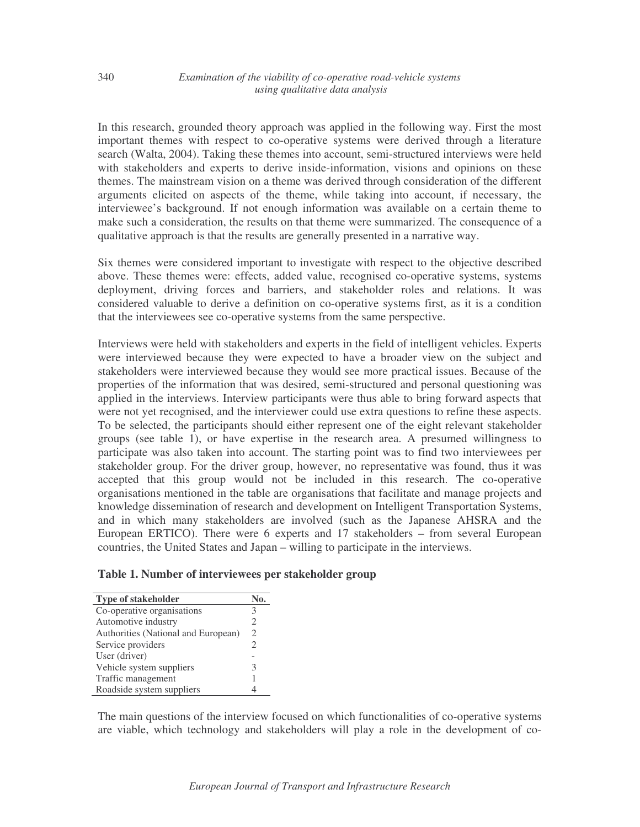In this research, grounded theory approach was applied in the following way. First the most important themes with respect to co-operative systems were derived through a literature search (Walta, 2004). Taking these themes into account, semi-structured interviews were held with stakeholders and experts to derive inside-information, visions and opinions on these themes. The mainstream vision on a theme was derived through consideration of the different arguments elicited on aspects of the theme, while taking into account, if necessary, the interviewee's background. If not enough information was available on a certain theme to make such a consideration, the results on that theme were summarized. The consequence of a qualitative approach is that the results are generally presented in a narrative way.

Six themes were considered important to investigate with respect to the objective described above. These themes were: effects, added value, recognised co-operative systems, systems deployment, driving forces and barriers, and stakeholder roles and relations. It was considered valuable to derive a definition on co-operative systems first, as it is a condition that the interviewees see co-operative systems from the same perspective.

Interviews were held with stakeholders and experts in the field of intelligent vehicles. Experts were interviewed because they were expected to have a broader view on the subject and stakeholders were interviewed because they would see more practical issues. Because of the properties of the information that was desired, semi-structured and personal questioning was applied in the interviews. Interview participants were thus able to bring forward aspects that were not yet recognised, and the interviewer could use extra questions to refine these aspects. To be selected, the participants should either represent one of the eight relevant stakeholder groups (see table 1), or have expertise in the research area. A presumed willingness to participate was also taken into account. The starting point was to find two interviewees per stakeholder group. For the driver group, however, no representative was found, thus it was accepted that this group would not be included in this research. The co-operative organisations mentioned in the table are organisations that facilitate and manage projects and knowledge dissemination of research and development on Intelligent Transportation Systems, and in which many stakeholders are involved (such as the Japanese AHSRA and the European ERTICO). There were 6 experts and 17 stakeholders – from several European countries, the United States and Japan – willing to participate in the interviews.

## **Table 1. Number of interviewees per stakeholder group**

| <b>Type of stakeholder</b>          |                |
|-------------------------------------|----------------|
| Co-operative organisations          | 3              |
| Automotive industry                 | 2              |
| Authorities (National and European) | 2              |
| Service providers                   | $\mathfrak{D}$ |
| User (driver)                       |                |
| Vehicle system suppliers            | 3              |
| Traffic management                  |                |
| Roadside system suppliers           |                |

The main questions of the interview focused on which functionalities of co-operative systems are viable, which technology and stakeholders will play a role in the development of co-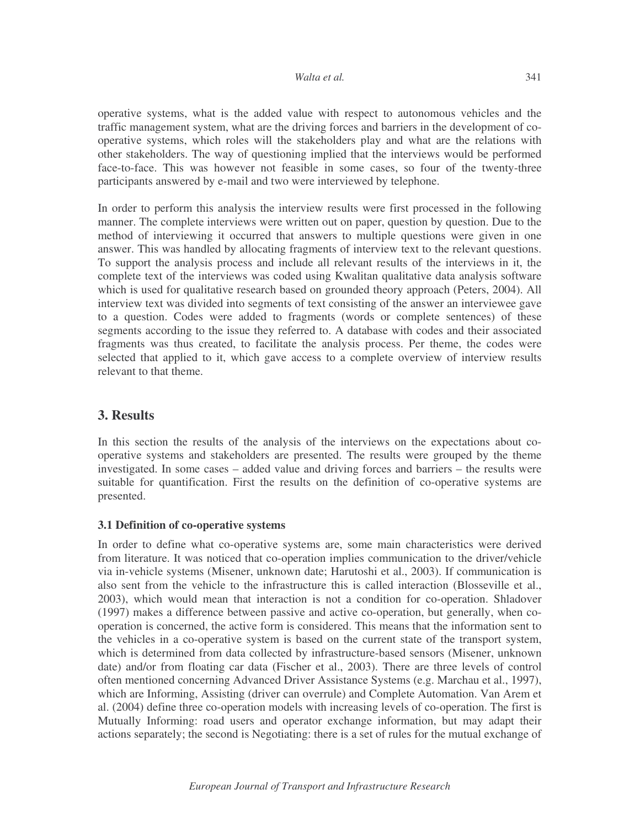operative systems, what is the added value with respect to autonomous vehicles and the traffic management system, what are the driving forces and barriers in the development of cooperative systems, which roles will the stakeholders play and what are the relations with other stakeholders. The way of questioning implied that the interviews would be performed face-to-face. This was however not feasible in some cases, so four of the twenty-three participants answered by e-mail and two were interviewed by telephone.

In order to perform this analysis the interview results were first processed in the following manner. The complete interviews were written out on paper, question by question. Due to the method of interviewing it occurred that answers to multiple questions were given in one answer. This was handled by allocating fragments of interview text to the relevant questions. To support the analysis process and include all relevant results of the interviews in it, the complete text of the interviews was coded using Kwalitan qualitative data analysis software which is used for qualitative research based on grounded theory approach (Peters, 2004). All interview text was divided into segments of text consisting of the answer an interviewee gave to a question. Codes were added to fragments (words or complete sentences) of these segments according to the issue they referred to. A database with codes and their associated fragments was thus created, to facilitate the analysis process. Per theme, the codes were selected that applied to it, which gave access to a complete overview of interview results relevant to that theme.

# **3. Results**

In this section the results of the analysis of the interviews on the expectations about cooperative systems and stakeholders are presented. The results were grouped by the theme investigated. In some cases – added value and driving forces and barriers – the results were suitable for quantification. First the results on the definition of co-operative systems are presented.

# **3.1 Definition of co-operative systems**

In order to define what co-operative systems are, some main characteristics were derived from literature. It was noticed that co-operation implies communication to the driver/vehicle via in-vehicle systems (Misener, unknown date; Harutoshi et al., 2003). If communication is also sent from the vehicle to the infrastructure this is called interaction (Blosseville et al., 2003), which would mean that interaction is not a condition for co-operation. Shladover (1997) makes a difference between passive and active co-operation, but generally, when cooperation is concerned, the active form is considered. This means that the information sent to the vehicles in a co-operative system is based on the current state of the transport system, which is determined from data collected by infrastructure-based sensors (Misener, unknown date) and/or from floating car data (Fischer et al., 2003). There are three levels of control often mentioned concerning Advanced Driver Assistance Systems (e.g. Marchau et al., 1997), which are Informing, Assisting (driver can overrule) and Complete Automation. Van Arem et al. (2004) define three co-operation models with increasing levels of co-operation. The first is Mutually Informing: road users and operator exchange information, but may adapt their actions separately; the second is Negotiating: there is a set of rules for the mutual exchange of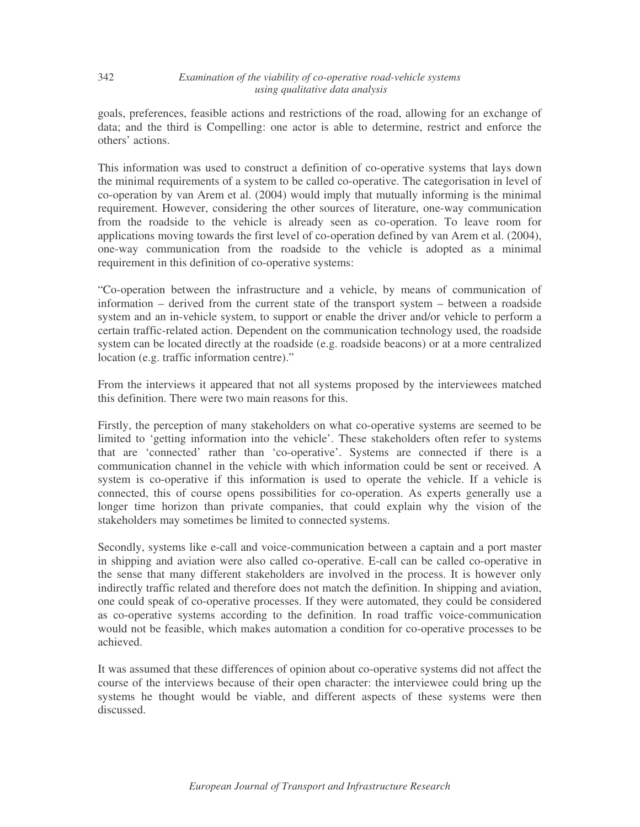goals, preferences, feasible actions and restrictions of the road, allowing for an exchange of data; and the third is Compelling: one actor is able to determine, restrict and enforce the others' actions.

This information was used to construct a definition of co-operative systems that lays down the minimal requirements of a system to be called co-operative. The categorisation in level of co-operation by van Arem et al. (2004) would imply that mutually informing is the minimal requirement. However, considering the other sources of literature, one-way communication from the roadside to the vehicle is already seen as co-operation. To leave room for applications moving towards the first level of co-operation defined by van Arem et al. (2004), one-way communication from the roadside to the vehicle is adopted as a minimal requirement in this definition of co-operative systems:

"Co-operation between the infrastructure and a vehicle, by means of communication of information – derived from the current state of the transport system – between a roadside system and an in-vehicle system, to support or enable the driver and/or vehicle to perform a certain traffic-related action. Dependent on the communication technology used, the roadside system can be located directly at the roadside (e.g. roadside beacons) or at a more centralized location (e.g. traffic information centre)."

From the interviews it appeared that not all systems proposed by the interviewees matched this definition. There were two main reasons for this.

Firstly, the perception of many stakeholders on what co-operative systems are seemed to be limited to 'getting information into the vehicle'. These stakeholders often refer to systems that are 'connected' rather than 'co-operative'. Systems are connected if there is a communication channel in the vehicle with which information could be sent or received. A system is co-operative if this information is used to operate the vehicle. If a vehicle is connected, this of course opens possibilities for co-operation. As experts generally use a longer time horizon than private companies, that could explain why the vision of the stakeholders may sometimes be limited to connected systems.

Secondly, systems like e-call and voice-communication between a captain and a port master in shipping and aviation were also called co-operative. E-call can be called co-operative in the sense that many different stakeholders are involved in the process. It is however only indirectly traffic related and therefore does not match the definition. In shipping and aviation, one could speak of co-operative processes. If they were automated, they could be considered as co-operative systems according to the definition. In road traffic voice-communication would not be feasible, which makes automation a condition for co-operative processes to be achieved.

It was assumed that these differences of opinion about co-operative systems did not affect the course of the interviews because of their open character: the interviewee could bring up the systems he thought would be viable, and different aspects of these systems were then discussed.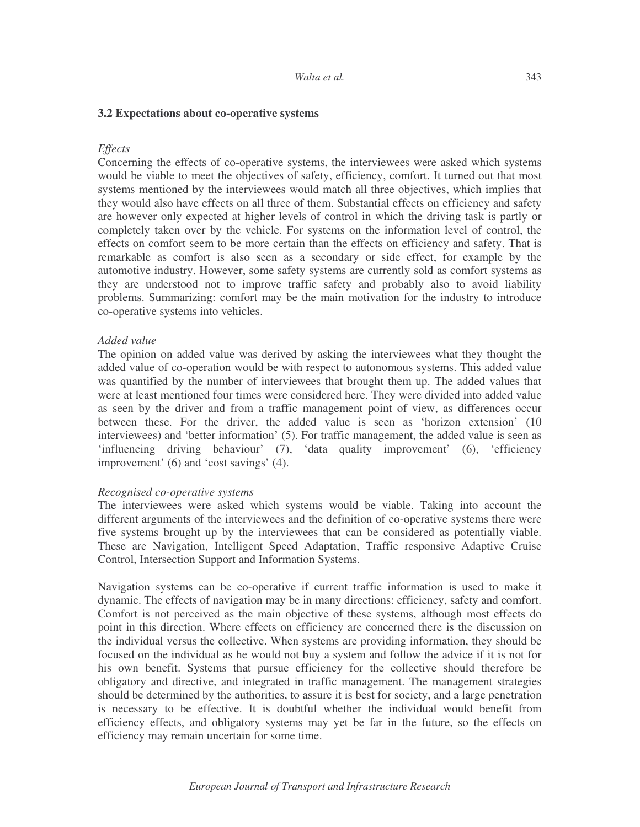### **3.2 Expectations about co-operative systems**

#### *Effects*

Concerning the effects of co-operative systems, the interviewees were asked which systems would be viable to meet the objectives of safety, efficiency, comfort. It turned out that most systems mentioned by the interviewees would match all three objectives, which implies that they would also have effects on all three of them. Substantial effects on efficiency and safety are however only expected at higher levels of control in which the driving task is partly or completely taken over by the vehicle. For systems on the information level of control, the effects on comfort seem to be more certain than the effects on efficiency and safety. That is remarkable as comfort is also seen as a secondary or side effect, for example by the automotive industry. However, some safety systems are currently sold as comfort systems as they are understood not to improve traffic safety and probably also to avoid liability problems. Summarizing: comfort may be the main motivation for the industry to introduce co-operative systems into vehicles.

### *Added value*

The opinion on added value was derived by asking the interviewees what they thought the added value of co-operation would be with respect to autonomous systems. This added value was quantified by the number of interviewees that brought them up. The added values that were at least mentioned four times were considered here. They were divided into added value as seen by the driver and from a traffic management point of view, as differences occur between these. For the driver, the added value is seen as 'horizon extension' (10 interviewees) and 'better information' (5). For traffic management, the added value is seen as 'influencing driving behaviour' (7), 'data quality improvement' (6), 'efficiency improvement' (6) and 'cost savings' (4).

#### *Recognised co-operative systems*

The interviewees were asked which systems would be viable. Taking into account the different arguments of the interviewees and the definition of co-operative systems there were five systems brought up by the interviewees that can be considered as potentially viable. These are Navigation, Intelligent Speed Adaptation, Traffic responsive Adaptive Cruise Control, Intersection Support and Information Systems.

Navigation systems can be co-operative if current traffic information is used to make it dynamic. The effects of navigation may be in many directions: efficiency, safety and comfort. Comfort is not perceived as the main objective of these systems, although most effects do point in this direction. Where effects on efficiency are concerned there is the discussion on the individual versus the collective. When systems are providing information, they should be focused on the individual as he would not buy a system and follow the advice if it is not for his own benefit. Systems that pursue efficiency for the collective should therefore be obligatory and directive, and integrated in traffic management. The management strategies should be determined by the authorities, to assure it is best for society, and a large penetration is necessary to be effective. It is doubtful whether the individual would benefit from efficiency effects, and obligatory systems may yet be far in the future, so the effects on efficiency may remain uncertain for some time.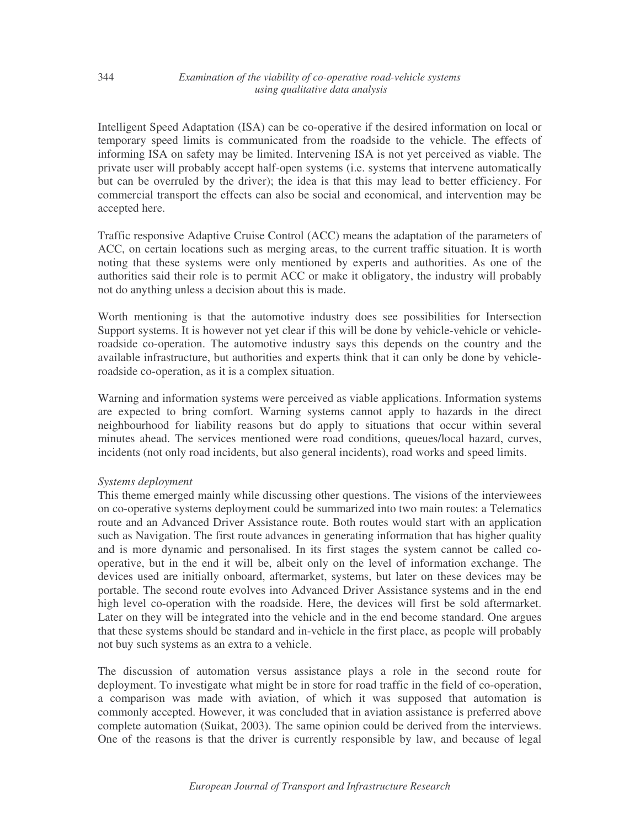Intelligent Speed Adaptation (ISA) can be co-operative if the desired information on local or temporary speed limits is communicated from the roadside to the vehicle. The effects of informing ISA on safety may be limited. Intervening ISA is not yet perceived as viable. The private user will probably accept half-open systems (i.e. systems that intervene automatically but can be overruled by the driver); the idea is that this may lead to better efficiency. For commercial transport the effects can also be social and economical, and intervention may be accepted here.

Traffic responsive Adaptive Cruise Control (ACC) means the adaptation of the parameters of ACC, on certain locations such as merging areas, to the current traffic situation. It is worth noting that these systems were only mentioned by experts and authorities. As one of the authorities said their role is to permit ACC or make it obligatory, the industry will probably not do anything unless a decision about this is made.

Worth mentioning is that the automotive industry does see possibilities for Intersection Support systems. It is however not yet clear if this will be done by vehicle-vehicle or vehicleroadside co-operation. The automotive industry says this depends on the country and the available infrastructure, but authorities and experts think that it can only be done by vehicleroadside co-operation, as it is a complex situation.

Warning and information systems were perceived as viable applications. Information systems are expected to bring comfort. Warning systems cannot apply to hazards in the direct neighbourhood for liability reasons but do apply to situations that occur within several minutes ahead. The services mentioned were road conditions, queues/local hazard, curves, incidents (not only road incidents, but also general incidents), road works and speed limits.

# *Systems deployment*

This theme emerged mainly while discussing other questions. The visions of the interviewees on co-operative systems deployment could be summarized into two main routes: a Telematics route and an Advanced Driver Assistance route. Both routes would start with an application such as Navigation. The first route advances in generating information that has higher quality and is more dynamic and personalised. In its first stages the system cannot be called cooperative, but in the end it will be, albeit only on the level of information exchange. The devices used are initially onboard, aftermarket, systems, but later on these devices may be portable. The second route evolves into Advanced Driver Assistance systems and in the end high level co-operation with the roadside. Here, the devices will first be sold aftermarket. Later on they will be integrated into the vehicle and in the end become standard. One argues that these systems should be standard and in-vehicle in the first place, as people will probably not buy such systems as an extra to a vehicle.

The discussion of automation versus assistance plays a role in the second route for deployment. To investigate what might be in store for road traffic in the field of co-operation, a comparison was made with aviation, of which it was supposed that automation is commonly accepted. However, it was concluded that in aviation assistance is preferred above complete automation (Suikat, 2003). The same opinion could be derived from the interviews. One of the reasons is that the driver is currently responsible by law, and because of legal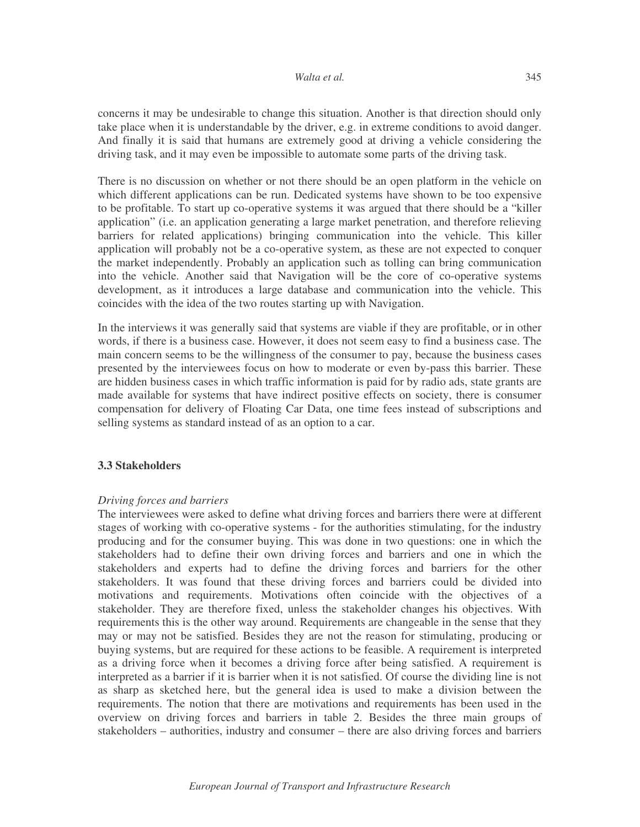concerns it may be undesirable to change this situation. Another is that direction should only take place when it is understandable by the driver, e.g. in extreme conditions to avoid danger. And finally it is said that humans are extremely good at driving a vehicle considering the driving task, and it may even be impossible to automate some parts of the driving task.

There is no discussion on whether or not there should be an open platform in the vehicle on which different applications can be run. Dedicated systems have shown to be too expensive to be profitable. To start up co-operative systems it was argued that there should be a "killer application" (i.e. an application generating a large market penetration, and therefore relieving barriers for related applications) bringing communication into the vehicle. This killer application will probably not be a co-operative system, as these are not expected to conquer the market independently. Probably an application such as tolling can bring communication into the vehicle. Another said that Navigation will be the core of co-operative systems development, as it introduces a large database and communication into the vehicle. This coincides with the idea of the two routes starting up with Navigation.

In the interviews it was generally said that systems are viable if they are profitable, or in other words, if there is a business case. However, it does not seem easy to find a business case. The main concern seems to be the willingness of the consumer to pay, because the business cases presented by the interviewees focus on how to moderate or even by-pass this barrier. These are hidden business cases in which traffic information is paid for by radio ads, state grants are made available for systems that have indirect positive effects on society, there is consumer compensation for delivery of Floating Car Data, one time fees instead of subscriptions and selling systems as standard instead of as an option to a car.

### **3.3 Stakeholders**

### *Driving forces and barriers*

The interviewees were asked to define what driving forces and barriers there were at different stages of working with co-operative systems - for the authorities stimulating, for the industry producing and for the consumer buying. This was done in two questions: one in which the stakeholders had to define their own driving forces and barriers and one in which the stakeholders and experts had to define the driving forces and barriers for the other stakeholders. It was found that these driving forces and barriers could be divided into motivations and requirements. Motivations often coincide with the objectives of a stakeholder. They are therefore fixed, unless the stakeholder changes his objectives. With requirements this is the other way around. Requirements are changeable in the sense that they may or may not be satisfied. Besides they are not the reason for stimulating, producing or buying systems, but are required for these actions to be feasible. A requirement is interpreted as a driving force when it becomes a driving force after being satisfied. A requirement is interpreted as a barrier if it is barrier when it is not satisfied. Of course the dividing line is not as sharp as sketched here, but the general idea is used to make a division between the requirements. The notion that there are motivations and requirements has been used in the overview on driving forces and barriers in table 2. Besides the three main groups of stakeholders – authorities, industry and consumer – there are also driving forces and barriers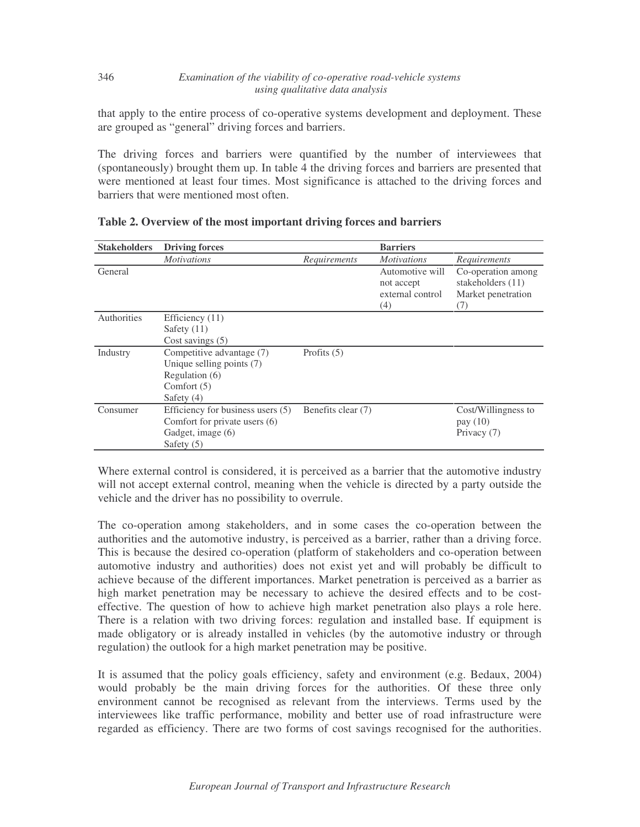that apply to the entire process of co-operative systems development and deployment. These are grouped as "general" driving forces and barriers.

The driving forces and barriers were quantified by the number of interviewees that (spontaneously) brought them up. In table 4 the driving forces and barriers are presented that were mentioned at least four times. Most significance is attached to the driving forces and barriers that were mentioned most often.

| <b>Stakeholders</b> | <b>Driving forces</b>                                                                                       |                    | <b>Barriers</b>                                          |                                                                        |
|---------------------|-------------------------------------------------------------------------------------------------------------|--------------------|----------------------------------------------------------|------------------------------------------------------------------------|
|                     | <i>Motivations</i>                                                                                          | Requirements       | <i>Motivations</i>                                       | Requirements                                                           |
| General             |                                                                                                             |                    | Automotive will<br>not accept<br>external control<br>(4) | Co-operation among<br>stakeholders $(11)$<br>Market penetration<br>(7) |
| Authorities         | Efficiency $(11)$<br>Safety $(11)$<br>Cost savings $(5)$                                                    |                    |                                                          |                                                                        |
| Industry            | Competitive advantage (7)<br>Unique selling points (7)<br>Regulation $(6)$<br>Comfort $(5)$<br>Safety $(4)$ | Profits $(5)$      |                                                          |                                                                        |
| Consumer            | Efficiency for business users (5)<br>Comfort for private users (6)<br>Gadget, image (6)<br>Safety $(5)$     | Benefits clear (7) |                                                          | Cost/Willingness to<br>pay $(10)$<br>Privacy (7)                       |

**Table 2. Overview of the most important driving forces and barriers**

346

Where external control is considered, it is perceived as a barrier that the automotive industry will not accept external control, meaning when the vehicle is directed by a party outside the vehicle and the driver has no possibility to overrule.

The co-operation among stakeholders, and in some cases the co-operation between the authorities and the automotive industry, is perceived as a barrier, rather than a driving force. This is because the desired co-operation (platform of stakeholders and co-operation between automotive industry and authorities) does not exist yet and will probably be difficult to achieve because of the different importances. Market penetration is perceived as a barrier as high market penetration may be necessary to achieve the desired effects and to be costeffective. The question of how to achieve high market penetration also plays a role here. There is a relation with two driving forces: regulation and installed base. If equipment is made obligatory or is already installed in vehicles (by the automotive industry or through regulation) the outlook for a high market penetration may be positive.

It is assumed that the policy goals efficiency, safety and environment (e.g. Bedaux, 2004) would probably be the main driving forces for the authorities. Of these three only environment cannot be recognised as relevant from the interviews. Terms used by the interviewees like traffic performance, mobility and better use of road infrastructure were regarded as efficiency. There are two forms of cost savings recognised for the authorities.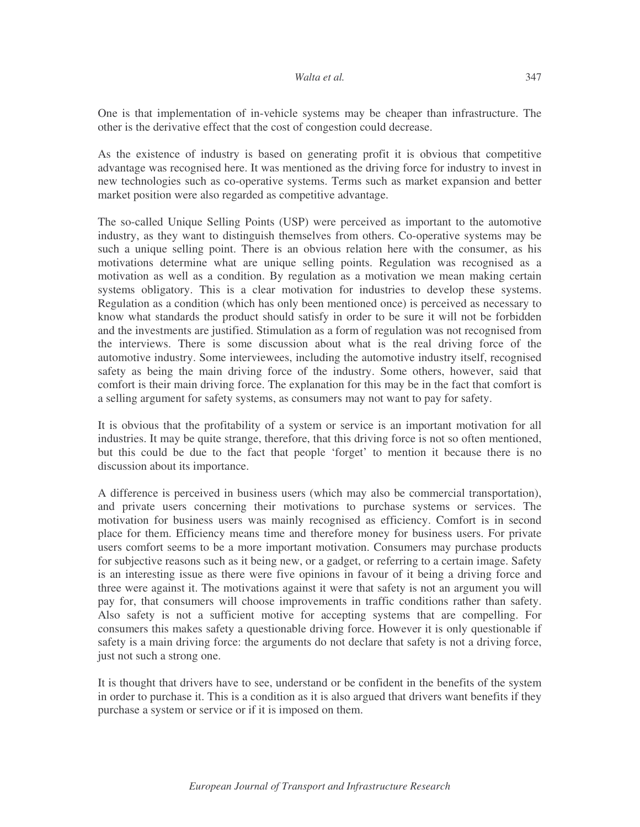One is that implementation of in-vehicle systems may be cheaper than infrastructure. The other is the derivative effect that the cost of congestion could decrease.

As the existence of industry is based on generating profit it is obvious that competitive advantage was recognised here. It was mentioned as the driving force for industry to invest in new technologies such as co-operative systems. Terms such as market expansion and better market position were also regarded as competitive advantage.

The so-called Unique Selling Points (USP) were perceived as important to the automotive industry, as they want to distinguish themselves from others. Co-operative systems may be such a unique selling point. There is an obvious relation here with the consumer, as his motivations determine what are unique selling points. Regulation was recognised as a motivation as well as a condition. By regulation as a motivation we mean making certain systems obligatory. This is a clear motivation for industries to develop these systems. Regulation as a condition (which has only been mentioned once) is perceived as necessary to know what standards the product should satisfy in order to be sure it will not be forbidden and the investments are justified. Stimulation as a form of regulation was not recognised from the interviews. There is some discussion about what is the real driving force of the automotive industry. Some interviewees, including the automotive industry itself, recognised safety as being the main driving force of the industry. Some others, however, said that comfort is their main driving force. The explanation for this may be in the fact that comfort is a selling argument for safety systems, as consumers may not want to pay for safety.

It is obvious that the profitability of a system or service is an important motivation for all industries. It may be quite strange, therefore, that this driving force is not so often mentioned, but this could be due to the fact that people 'forget' to mention it because there is no discussion about its importance.

A difference is perceived in business users (which may also be commercial transportation), and private users concerning their motivations to purchase systems or services. The motivation for business users was mainly recognised as efficiency. Comfort is in second place for them. Efficiency means time and therefore money for business users. For private users comfort seems to be a more important motivation. Consumers may purchase products for subjective reasons such as it being new, or a gadget, or referring to a certain image. Safety is an interesting issue as there were five opinions in favour of it being a driving force and three were against it. The motivations against it were that safety is not an argument you will pay for, that consumers will choose improvements in traffic conditions rather than safety. Also safety is not a sufficient motive for accepting systems that are compelling. For consumers this makes safety a questionable driving force. However it is only questionable if safety is a main driving force: the arguments do not declare that safety is not a driving force, just not such a strong one.

It is thought that drivers have to see, understand or be confident in the benefits of the system in order to purchase it. This is a condition as it is also argued that drivers want benefits if they purchase a system or service or if it is imposed on them.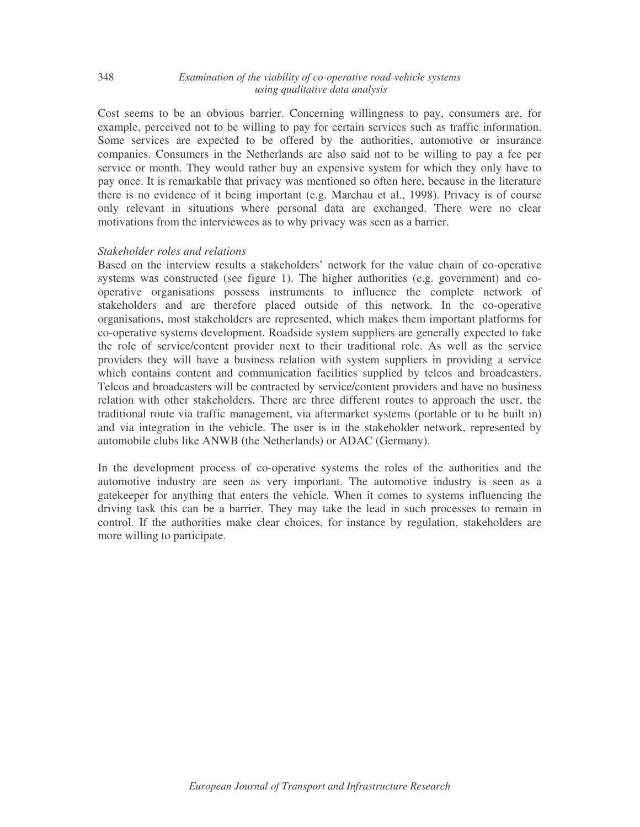Cost seems to be an obvious barrier. Concerning willingness to pay, consumers are, for example, perceived not to be willing to pay for certain services such as traffic information. Some services are expected to be offered by the authorities, automotive or insurance companies. Consumers in the Netherlands are also said not to be willing to pay a fee per service or month. They would rather buy an expensive system for which they only have to pay once. It is remarkable that privacy was mentioned so often here, because in the literature there is no evidence of it being important (e.g. Marchau et al., 1998). Privacy is of course only relevant in situations where personal data are exchanged. There were no clear motivations from the interviewees as to why privacy was seen as a barrier.

#### *Stakeholder roles and relations*

Based on the interview results a stakeholders' network for the value chain of co-operative systems was constructed (see figure 1). The higher authorities (e.g. government) and cooperative organisations possess instruments to influence the complete network of stakeholders and are therefore placed outside of this network. In the co-operative organisations, most stakeholders are represented, which makes them important platforms for co-operative systems development. Roadside system suppliers are generally expected to take the role of service/content provider next to their traditional role. As well as the service providers they will have a business relation with system suppliers in providing a service which contains content and communication facilities supplied by telcos and broadcasters. Telcos and broadcasters will be contracted by service/content providers and have no business relation with other stakeholders. There are three different routes to approach the user, the traditional route via traffic management, via aftermarket systems (portable or to be built in) and via integration in the vehicle. The user is in the stakeholder network, represented by automobile clubs like ANWB (the Netherlands) or ADAC (Germany).

In the development process of co-operative systems the roles of the authorities and the automotive industry are seen as very important. The automotive industry is seen as a gatekeeper for anything that enters the vehicle. When it comes to systems influencing the driving task this can be a barrier. They may take the lead in such processes to remain in control. If the authorities make clear choices, for instance by regulation, stakeholders are more willing to participate.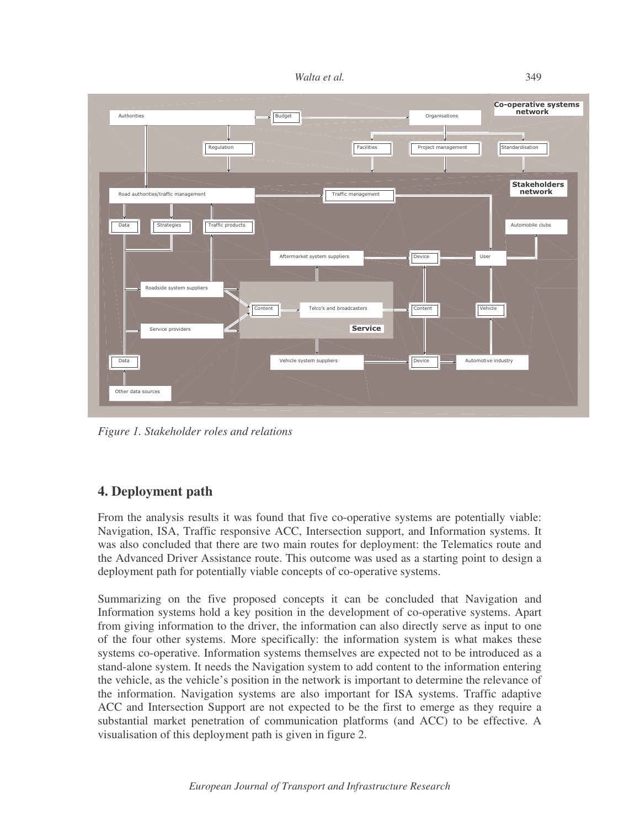349



*Figure 1. Stakeholder roles and relations*

# **4. Deployment path**

From the analysis results it was found that five co-operative systems are potentially viable: Navigation, ISA, Traffic responsive ACC, Intersection support, and Information systems. It was also concluded that there are two main routes for deployment: the Telematics route and the Advanced Driver Assistance route. This outcome was used as a starting point to design a deployment path for potentially viable concepts of co-operative systems.

Summarizing on the five proposed concepts it can be concluded that Navigation and Information systems hold a key position in the development of co-operative systems. Apart from giving information to the driver, the information can also directly serve as input to one of the four other systems. More specifically: the information system is what makes these systems co-operative. Information systems themselves are expected not to be introduced as a stand-alone system. It needs the Navigation system to add content to the information entering the vehicle, as the vehicle's position in the network is important to determine the relevance of the information. Navigation systems are also important for ISA systems. Traffic adaptive ACC and Intersection Support are not expected to be the first to emerge as they require a substantial market penetration of communication platforms (and ACC) to be effective. A visualisation of this deployment path is given in figure 2.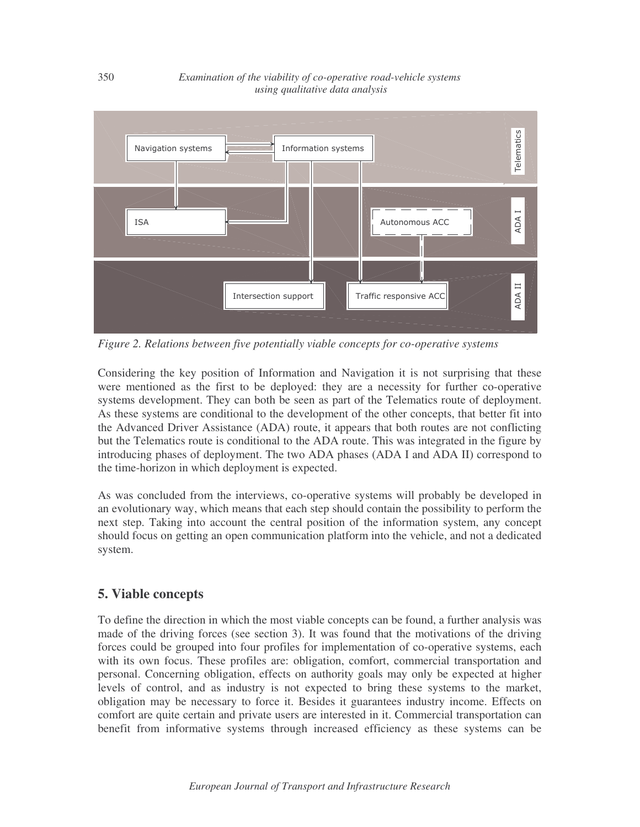

*Figure 2. Relations between five potentially viable concepts for co-operative systems*

Considering the key position of Information and Navigation it is not surprising that these were mentioned as the first to be deployed: they are a necessity for further co-operative systems development. They can both be seen as part of the Telematics route of deployment. As these systems are conditional to the development of the other concepts, that better fit into the Advanced Driver Assistance (ADA) route, it appears that both routes are not conflicting but the Telematics route is conditional to the ADA route. This was integrated in the figure by introducing phases of deployment. The two ADA phases (ADA I and ADA II) correspond to the time-horizon in which deployment is expected.

As was concluded from the interviews, co-operative systems will probably be developed in an evolutionary way, which means that each step should contain the possibility to perform the next step. Taking into account the central position of the information system, any concept should focus on getting an open communication platform into the vehicle, and not a dedicated system.

# **5. Viable concepts**

To define the direction in which the most viable concepts can be found, a further analysis was made of the driving forces (see section 3). It was found that the motivations of the driving forces could be grouped into four profiles for implementation of co-operative systems, each with its own focus. These profiles are: obligation, comfort, commercial transportation and personal. Concerning obligation, effects on authority goals may only be expected at higher levels of control, and as industry is not expected to bring these systems to the market, obligation may be necessary to force it. Besides it guarantees industry income. Effects on comfort are quite certain and private users are interested in it. Commercial transportation can benefit from informative systems through increased efficiency as these systems can be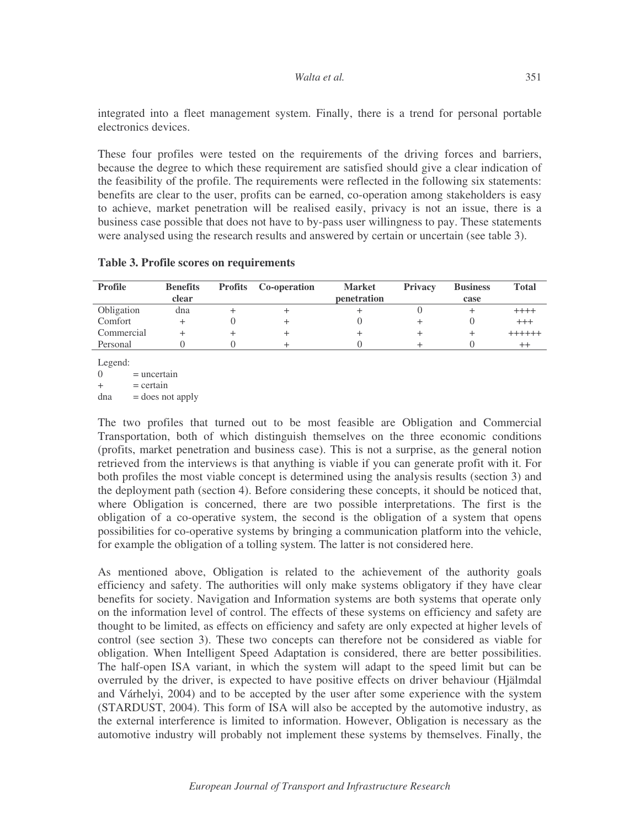integrated into a fleet management system. Finally, there is a trend for personal portable electronics devices.

These four profiles were tested on the requirements of the driving forces and barriers, because the degree to which these requirement are satisfied should give a clear indication of the feasibility of the profile. The requirements were reflected in the following six statements: benefits are clear to the user, profits can be earned, co-operation among stakeholders is easy to achieve, market penetration will be realised easily, privacy is not an issue, there is a business case possible that does not have to by-pass user willingness to pay. These statements were analysed using the research results and answered by certain or uncertain (see table 3).

| <b>Profile</b> | <b>Benefits</b><br>clear | <b>Profits</b> Co-operation | <b>Market</b><br>penetration | <b>Privacy</b> | <b>Business</b><br>case | <b>Total</b>  |
|----------------|--------------------------|-----------------------------|------------------------------|----------------|-------------------------|---------------|
| Obligation     | dna                      |                             |                              |                |                         | $+++++$       |
| Comfort        |                          |                             |                              |                |                         | $^{+++}$      |
| Commercial     |                          |                             |                              |                |                         | $+ + + + + +$ |
| Personal       |                          |                             |                              |                |                         | ++            |

### **Table 3. Profile scores on requirements**

Legend:  $0 =$  uncertain  $+$  = certain  $dna = does not apply$ 

The two profiles that turned out to be most feasible are Obligation and Commercial Transportation, both of which distinguish themselves on the three economic conditions (profits, market penetration and business case). This is not a surprise, as the general notion retrieved from the interviews is that anything is viable if you can generate profit with it. For both profiles the most viable concept is determined using the analysis results (section 3) and the deployment path (section 4). Before considering these concepts, it should be noticed that, where Obligation is concerned, there are two possible interpretations. The first is the obligation of a co-operative system, the second is the obligation of a system that opens possibilities for co-operative systems by bringing a communication platform into the vehicle, for example the obligation of a tolling system. The latter is not considered here.

As mentioned above, Obligation is related to the achievement of the authority goals efficiency and safety. The authorities will only make systems obligatory if they have clear benefits for society. Navigation and Information systems are both systems that operate only on the information level of control. The effects of these systems on efficiency and safety are thought to be limited, as effects on efficiency and safety are only expected at higher levels of control (see section 3). These two concepts can therefore not be considered as viable for obligation. When Intelligent Speed Adaptation is considered, there are better possibilities. The half-open ISA variant, in which the system will adapt to the speed limit but can be overruled by the driver, is expected to have positive effects on driver behaviour (Hjälmdal and Várhelyi, 2004) and to be accepted by the user after some experience with the system (STARDUST, 2004). This form of ISA will also be accepted by the automotive industry, as the external interference is limited to information. However, Obligation is necessary as the automotive industry will probably not implement these systems by themselves. Finally, the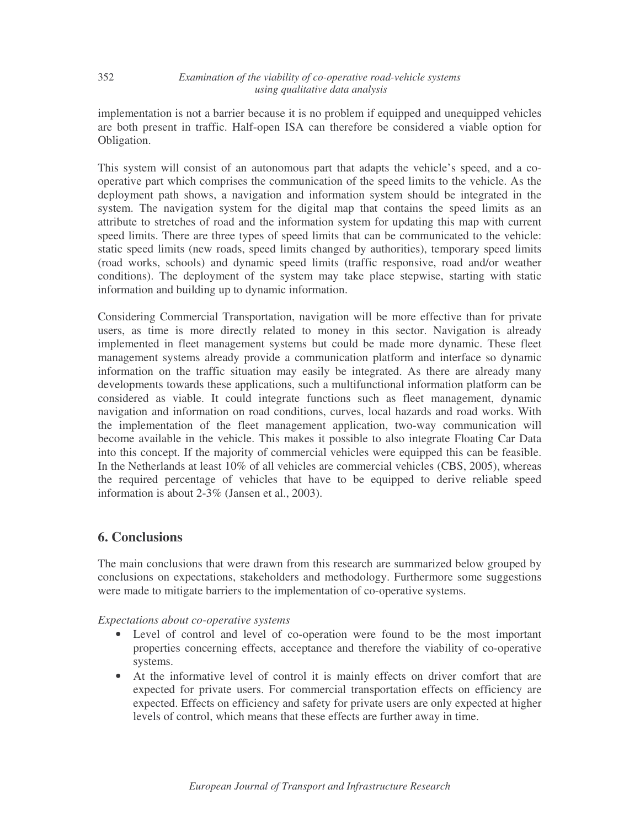implementation is not a barrier because it is no problem if equipped and unequipped vehicles are both present in traffic. Half-open ISA can therefore be considered a viable option for Obligation.

This system will consist of an autonomous part that adapts the vehicle's speed, and a cooperative part which comprises the communication of the speed limits to the vehicle. As the deployment path shows, a navigation and information system should be integrated in the system. The navigation system for the digital map that contains the speed limits as an attribute to stretches of road and the information system for updating this map with current speed limits. There are three types of speed limits that can be communicated to the vehicle: static speed limits (new roads, speed limits changed by authorities), temporary speed limits (road works, schools) and dynamic speed limits (traffic responsive, road and/or weather conditions). The deployment of the system may take place stepwise, starting with static information and building up to dynamic information.

Considering Commercial Transportation, navigation will be more effective than for private users, as time is more directly related to money in this sector. Navigation is already implemented in fleet management systems but could be made more dynamic. These fleet management systems already provide a communication platform and interface so dynamic information on the traffic situation may easily be integrated. As there are already many developments towards these applications, such a multifunctional information platform can be considered as viable. It could integrate functions such as fleet management, dynamic navigation and information on road conditions, curves, local hazards and road works. With the implementation of the fleet management application, two-way communication will become available in the vehicle. This makes it possible to also integrate Floating Car Data into this concept. If the majority of commercial vehicles were equipped this can be feasible. In the Netherlands at least 10% of all vehicles are commercial vehicles (CBS, 2005), whereas the required percentage of vehicles that have to be equipped to derive reliable speed information is about 2-3% (Jansen et al., 2003).

# **6. Conclusions**

The main conclusions that were drawn from this research are summarized below grouped by conclusions on expectations, stakeholders and methodology. Furthermore some suggestions were made to mitigate barriers to the implementation of co-operative systems.

*Expectations about co-operative systems*

- Level of control and level of co-operation were found to be the most important properties concerning effects, acceptance and therefore the viability of co-operative systems.
- At the informative level of control it is mainly effects on driver comfort that are expected for private users. For commercial transportation effects on efficiency are expected. Effects on efficiency and safety for private users are only expected at higher levels of control, which means that these effects are further away in time.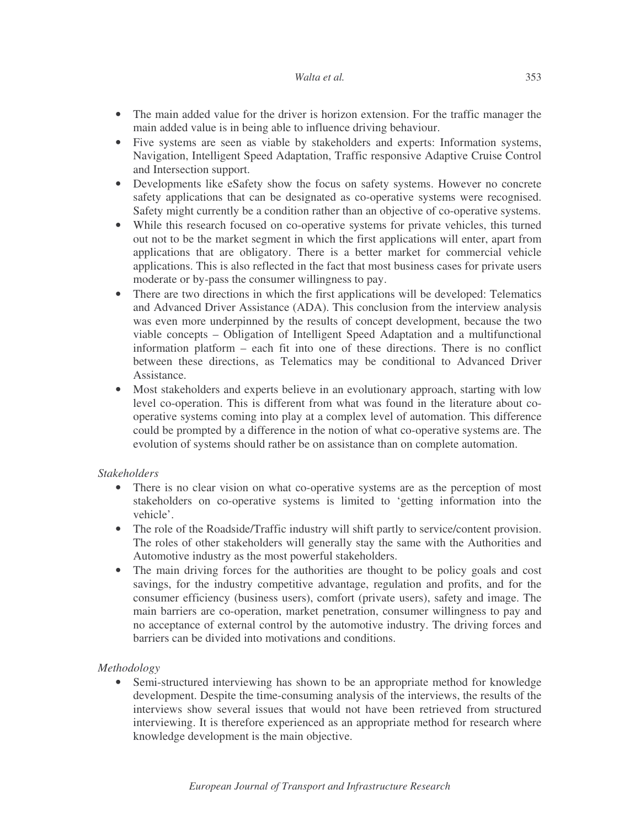- The main added value for the driver is horizon extension. For the traffic manager the main added value is in being able to influence driving behaviour.
- Five systems are seen as viable by stakeholders and experts: Information systems, Navigation, Intelligent Speed Adaptation, Traffic responsive Adaptive Cruise Control and Intersection support.
- Developments like eSafety show the focus on safety systems. However no concrete safety applications that can be designated as co-operative systems were recognised. Safety might currently be a condition rather than an objective of co-operative systems.
- While this research focused on co-operative systems for private vehicles, this turned out not to be the market segment in which the first applications will enter, apart from applications that are obligatory. There is a better market for commercial vehicle applications. This is also reflected in the fact that most business cases for private users moderate or by-pass the consumer willingness to pay.
- There are two directions in which the first applications will be developed: Telematics and Advanced Driver Assistance (ADA). This conclusion from the interview analysis was even more underpinned by the results of concept development, because the two viable concepts – Obligation of Intelligent Speed Adaptation and a multifunctional information platform – each fit into one of these directions. There is no conflict between these directions, as Telematics may be conditional to Advanced Driver Assistance.
- Most stakeholders and experts believe in an evolutionary approach, starting with low level co-operation. This is different from what was found in the literature about cooperative systems coming into play at a complex level of automation. This difference could be prompted by a difference in the notion of what co-operative systems are. The evolution of systems should rather be on assistance than on complete automation.

# *Stakeholders*

- There is no clear vision on what co-operative systems are as the perception of most stakeholders on co-operative systems is limited to 'getting information into the vehicle'.
- The role of the Roadside/Traffic industry will shift partly to service/content provision. The roles of other stakeholders will generally stay the same with the Authorities and Automotive industry as the most powerful stakeholders.
- The main driving forces for the authorities are thought to be policy goals and cost savings, for the industry competitive advantage, regulation and profits, and for the consumer efficiency (business users), comfort (private users), safety and image. The main barriers are co-operation, market penetration, consumer willingness to pay and no acceptance of external control by the automotive industry. The driving forces and barriers can be divided into motivations and conditions.

# *Methodology*

• Semi-structured interviewing has shown to be an appropriate method for knowledge development. Despite the time-consuming analysis of the interviews, the results of the interviews show several issues that would not have been retrieved from structured interviewing. It is therefore experienced as an appropriate method for research where knowledge development is the main objective.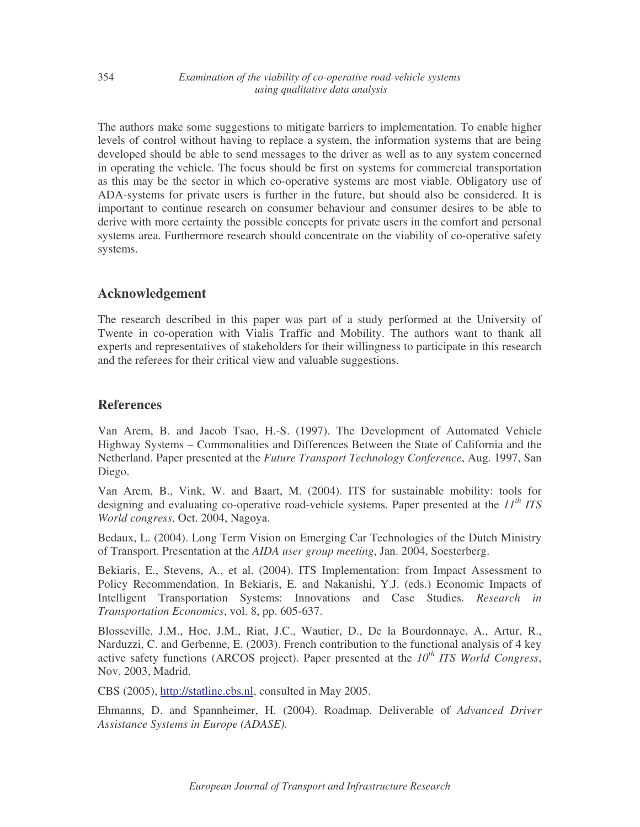The authors make some suggestions to mitigate barriers to implementation. To enable higher levels of control without having to replace a system, the information systems that are being developed should be able to send messages to the driver as well as to any system concerned in operating the vehicle. The focus should be first on systems for commercial transportation as this may be the sector in which co-operative systems are most viable. Obligatory use of ADA-systems for private users is further in the future, but should also be considered. It is important to continue research on consumer behaviour and consumer desires to be able to derive with more certainty the possible concepts for private users in the comfort and personal systems area. Furthermore research should concentrate on the viability of co-operative safety systems.

# **Acknowledgement**

The research described in this paper was part of a study performed at the University of Twente in co-operation with Vialis Traffic and Mobility. The authors want to thank all experts and representatives of stakeholders for their willingness to participate in this research and the referees for their critical view and valuable suggestions.

# **References**

Van Arem, B. and Jacob Tsao, H.-S. (1997). The Development of Automated Vehicle Highway Systems – Commonalities and Differences Between the State of California and the Netherland. Paper presented at the *Future Transport Technology Conference*, Aug. 1997, San Diego.

Van Arem, B., Vink, W. and Baart, M. (2004). ITS for sustainable mobility: tools for designing and evaluating co-operative road-vehicle systems. Paper presented at the *11 th ITS World congress*, Oct. 2004, Nagoya.

Bedaux, L. (2004). Long Term Vision on Emerging Car Technologies of the Dutch Ministry of Transport. Presentation at the *AIDA user group meeting*, Jan. 2004, Soesterberg.

Bekiaris, E., Stevens, A., et al. (2004). ITS Implementation: from Impact Assessment to Policy Recommendation. In Bekiaris, E. and Nakanishi, Y.J. (eds.) Economic Impacts of Intelligent Transportation Systems: Innovations and Case Studies. *Research in Transportation Economics*, vol. 8, pp. 605-637.

Blosseville, J.M., Hoc, J.M., Riat, J.C., Wautier, D., De la Bourdonnaye, A., Artur, R., Narduzzi, C. and Gerbenne, E. (2003). French contribution to the functional analysis of 4 key active safety functions (ARCOS project). Paper presented at the *10 th ITS World Congress*, Nov. 2003, Madrid.

CBS (2005), http://statline.cbs.nl, consulted in May 2005.

Ehmanns, D. and Spannheimer, H. (2004). Roadmap. Deliverable of *Advanced Driver Assistance Systems in Europe (ADASE).*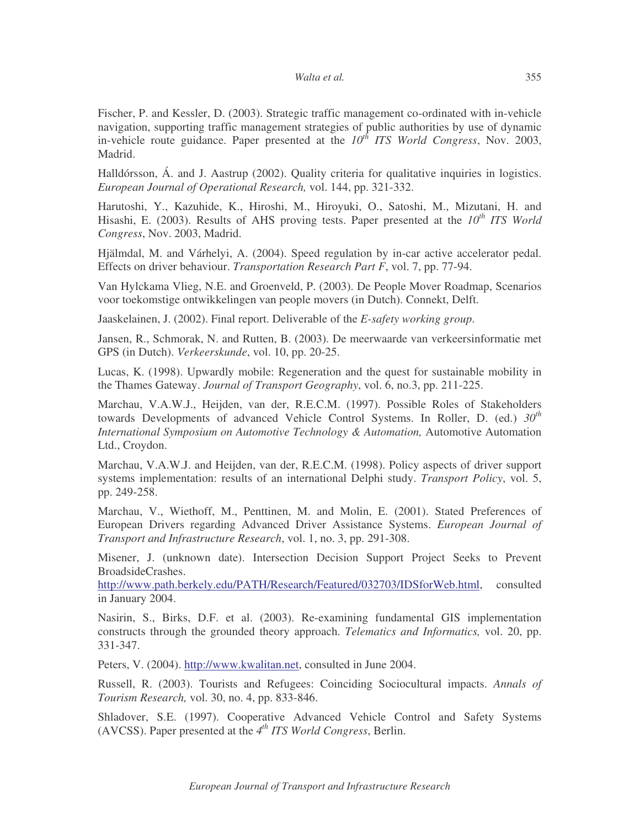Fischer, P. and Kessler, D. (2003). Strategic traffic management co-ordinated with in-vehicle navigation, supporting traffic management strategies of public authorities by use of dynamic in-vehicle route guidance. Paper presented at the  $10^{th}$  ITS World Congress, Nov. 2003, Madrid.

Halldórsson, Á. and J. Aastrup (2002). Quality criteria for qualitative inquiries in logistics. *European Journal of Operational Research,* vol. 144, pp. 321-332.

Harutoshi, Y., Kazuhide, K., Hiroshi, M., Hiroyuki, O., Satoshi, M., Mizutani, H. and Hisashi, E. (2003). Results of AHS proving tests. Paper presented at the  $10^{th}$  ITS World *Congress*, Nov. 2003, Madrid.

Hjälmdal, M. and Várhelyi, A. (2004). Speed regulation by in-car active accelerator pedal. Effects on driver behaviour. *Transportation Research Part F*, vol. 7, pp. 77-94.

Van Hylckama Vlieg, N.E. and Groenveld, P. (2003). De People Mover Roadmap, Scenarios voor toekomstige ontwikkelingen van people movers (in Dutch). Connekt, Delft.

Jaaskelainen, J. (2002). Final report. Deliverable of the *E-safety working group*.

Jansen, R., Schmorak, N. and Rutten, B. (2003). De meerwaarde van verkeersinformatie met GPS (in Dutch). *Verkeerskunde*, vol. 10, pp. 20-25.

Lucas, K. (1998). Upwardly mobile: Regeneration and the quest for sustainable mobility in the Thames Gateway. *Journal of Transport Geography*, vol. 6, no.3, pp. 211-225.

Marchau, V.A.W.J., Heijden, van der, R.E.C.M. (1997). Possible Roles of Stakeholders towards Developments of advanced Vehicle Control Systems. In Roller, D. (ed.)  $30^{th}$ *International Symposium on Automotive Technology & Automation,* Automotive Automation Ltd., Croydon.

Marchau, V.A.W.J. and Heijden, van der, R.E.C.M. (1998). Policy aspects of driver support systems implementation: results of an international Delphi study. *Transport Policy*, vol. 5, pp. 249-258.

Marchau, V., Wiethoff, M., Penttinen, M. and Molin, E. (2001). Stated Preferences of European Drivers regarding Advanced Driver Assistance Systems. *European Journal of Transport and Infrastructure Research*, vol. 1, no. 3, pp. 291-308.

Misener, J. (unknown date). Intersection Decision Support Project Seeks to Prevent BroadsideCrashes.

http://www.path.berkely.edu/PATH/Research/Featured/032703/IDSforWeb.html, consulted in January 2004.

Nasirin, S., Birks, D.F. et al. (2003). Re-examining fundamental GIS implementation constructs through the grounded theory approach. *Telematics and Informatics,* vol. 20, pp. 331-347.

Peters, V. (2004). http://www.kwalitan.net, consulted in June 2004.

Russell, R. (2003). Tourists and Refugees: Coinciding Sociocultural impacts. *Annals of Tourism Research,* vol. 30, no. 4, pp. 833-846.

Shladover, S.E. (1997). Cooperative Advanced Vehicle Control and Safety Systems (AVCSS). Paper presented at the *4 th ITS World Congress*, Berlin.